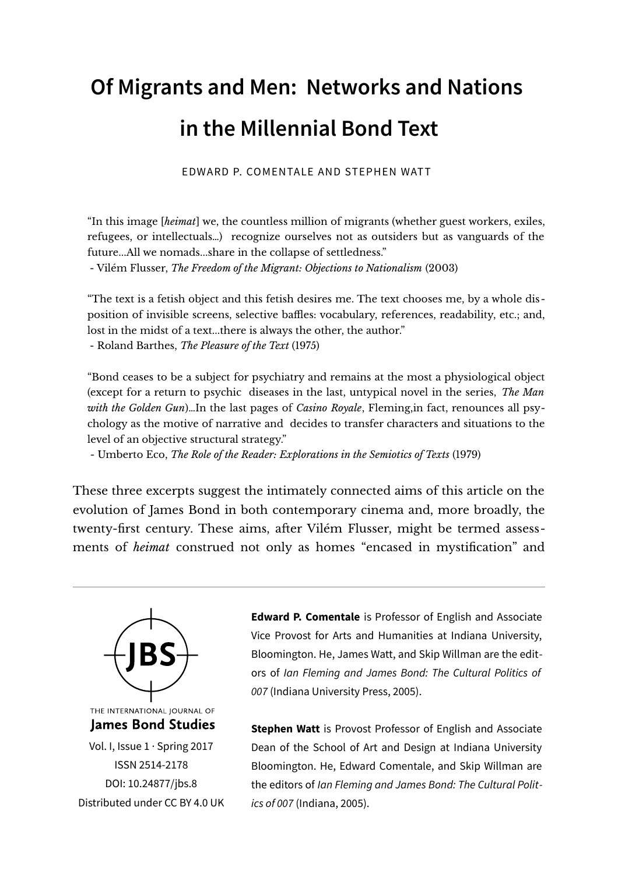## **Of Migrants and Men: Networks and Nations in the Millennial Bond Text**

EDWARD P. COMENTALE AND STEPHEN WATT

"In this image [*heimat*] we, the countless million of migrants (whether guest workers, exiles, refugees, or intellectuals…) recognize ourselves not as outsiders but as vanguards of the future...All we nomads...share in the collapse of settledness."

- Vilém Flusser, *The Freedom of the Migrant: Objections to Nationalism* (2003)

"The text is a fetish object and this fetish desires me. The text chooses me, by a whole disposition of invisible screens, selective baffles: vocabulary, references, readability, etc.; and, lost in the midst of a text...there is always the other, the author."

- Roland Barthes, *The Pleasure of the Text* (1975)

"Bond ceases to be a subject for psychiatry and remains at the most a physiological object (except for a return to psychic diseases in the last, untypical novel in the series, *The Man with the Golden Gun*)…In the last pages of *Casino Royale*, Fleming,in fact, renounces all psychology as the motive of narrative and decides to transfer characters and situations to the level of an objective structural strategy."

- Umberto Eco, *The Role of the Reader: Explorations in the Semiotics of Texts* (1979)

These three excerpts suggest the intimately connected aims of this article on the evolution of James Bond in both contemporary cinema and, more broadly, the twenty-first century. These aims, after Vilém Flusser, might be termed assessments of *heimat* construed not only as homes "encased in mystification" and



ISSN 2514-2178 [DOI: 10.24877/jbs.8](https://doi.org/10.24877/jbs.8) Distributed under [CC BY 4.0 UK](https://creativecommons.org/licenses/by/2.0/uk/) **Edward P. Comentale** is Professor of English and Associate Vice Provost for Arts and Humanities at Indiana University, Bloomington. He, James Watt, and Skip Willman are the editors of Ian Fleming and James Bond: The Cultural Politics of 007 (Indiana University Press, 2005).

**Stephen Watt** is Provost Professor of English and Associate Dean of the School of Art and Design at Indiana University Bloomington. He, Edward Comentale, and Skip Willman are the editors of Ian Fleming and James Bond: The Cultural Politics of 007 (Indiana, 2005).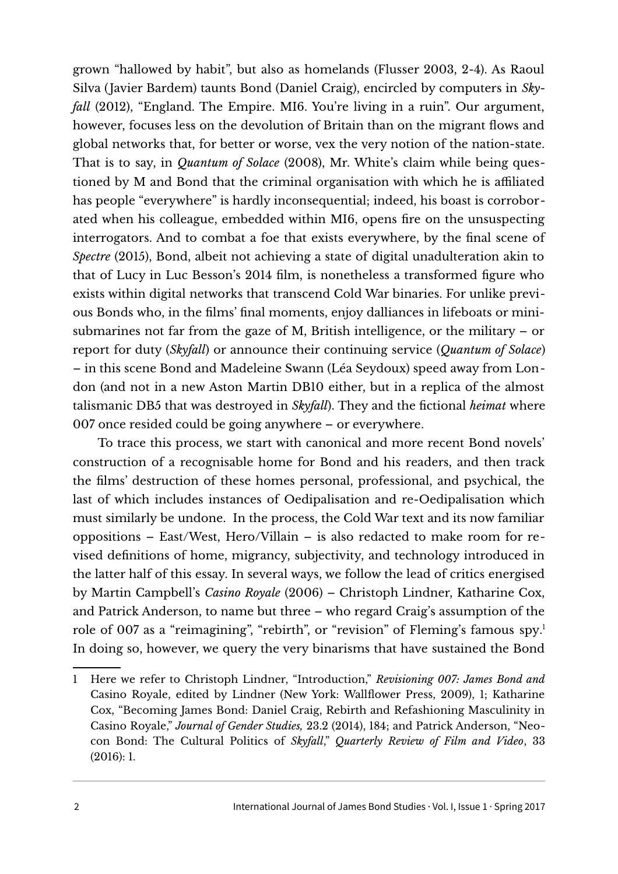grown "hallowed by habit", but also as homelands (Flusser 2003, 2-4). As Raoul Silva (Javier Bardem) taunts Bond (Daniel Craig), encircled by computers in *Skyfall* (2012), "England. The Empire. MI6. You're living in a ruin". Our argument, however, focuses less on the devolution of Britain than on the migrant flows and global networks that, for better or worse, vex the very notion of the nation-state. That is to say, in *Quantum of Solace* (2008), Mr. White's claim while being questioned by M and Bond that the criminal organisation with which he is affiliated has people "everywhere" is hardly inconsequential; indeed, his boast is corroborated when his colleague, embedded within MI6, opens fire on the unsuspecting interrogators. And to combat a foe that exists everywhere, by the final scene of *Spectre* (2015), Bond, albeit not achieving a state of digital unadulteration akin to that of Lucy in Luc Besson's 2014 film, is nonetheless a transformed figure who exists within digital networks that transcend Cold War binaries. For unlike previous Bonds who, in the films' final moments, enjoy dalliances in lifeboats or minisubmarines not far from the gaze of M, British intelligence, or the military – or report for duty (*Skyfall*) or announce their continuing service (*Quantum of Solace*) – in this scene Bond and Madeleine Swann (Léa Seydoux) speed away from London (and not in a new Aston Martin DB10 either, but in a replica of the almost talismanic DB5 that was destroyed in *Skyfall*). They and the fictional *heimat* where 007 once resided could be going anywhere – or everywhere.

To trace this process, we start with canonical and more recent Bond novels' construction of a recognisable home for Bond and his readers, and then track the films' destruction of these homes personal, professional, and psychical, the last of which includes instances of Oedipalisation and re-Oedipalisation which must similarly be undone. In the process, the Cold War text and its now familiar oppositions – East/West, Hero/Villain – is also redacted to make room for revised definitions of home, migrancy, subjectivity, and technology introduced in the latter half of this essay. In several ways, we follow the lead of critics energised by Martin Campbell's *Casino Royale* (2006) – Christoph Lindner, Katharine Cox, and Patrick Anderson, to name but three – who regard Craig's assumption of the role of 007 as a "reimagining", "rebirth", or "revision" of Fleming's famous spy. [1](#page-1-0) In doing so, however, we query the very binarisms that have sustained the Bond

<span id="page-1-0"></span><sup>1</sup> Here we refer to Christoph Lindner, "Introduction," *Revisioning 007: James Bond and* Casino Royale, edited by Lindner (New York: Wallflower Press, 2009), 1; Katharine Cox, "Becoming James Bond: Daniel Craig, Rebirth and Refashioning Masculinity in Casino Royale," *Journal of Gender Studies,* 23.2 (2014), 184; and Patrick Anderson, "Neocon Bond: The Cultural Politics of *Skyfall*," *Quarterly Review of Film and Video*, 33 (2016): 1.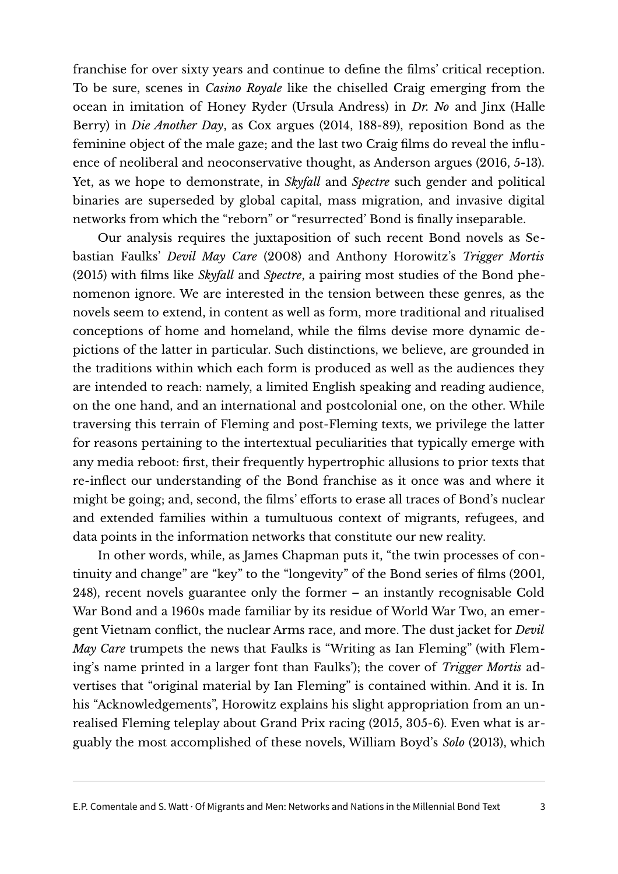franchise for over sixty years and continue to define the films' critical reception. To be sure, scenes in *Casino Royale* like the chiselled Craig emerging from the ocean in imitation of Honey Ryder (Ursula Andress) in *Dr. No* and Jinx (Halle Berry) in *Die Another Day*, as Cox argues (2014, 188-89), reposition Bond as the feminine object of the male gaze; and the last two Craig films do reveal the influence of neoliberal and neoconservative thought, as Anderson argues (2016, 5-13). Yet, as we hope to demonstrate, in *Skyfall* and *Spectre* such gender and political binaries are superseded by global capital, mass migration, and invasive digital networks from which the "reborn" or "resurrected' Bond is finally inseparable.

Our analysis requires the juxtaposition of such recent Bond novels as Sebastian Faulks' *Devil May Care* (2008) and Anthony Horowitz's *Trigger Mortis* (2015) with films like *Skyfall* and *Spectre*, a pairing most studies of the Bond phenomenon ignore. We are interested in the tension between these genres, as the novels seem to extend, in content as well as form, more traditional and ritualised conceptions of home and homeland, while the films devise more dynamic depictions of the latter in particular. Such distinctions, we believe, are grounded in the traditions within which each form is produced as well as the audiences they are intended to reach: namely, a limited English speaking and reading audience, on the one hand, and an international and postcolonial one, on the other. While traversing this terrain of Fleming and post-Fleming texts, we privilege the latter for reasons pertaining to the intertextual peculiarities that typically emerge with any media reboot: first, their frequently hypertrophic allusions to prior texts that re-inflect our understanding of the Bond franchise as it once was and where it might be going; and, second, the films' efforts to erase all traces of Bond's nuclear and extended families within a tumultuous context of migrants, refugees, and data points in the information networks that constitute our new reality.

In other words, while, as James Chapman puts it, "the twin processes of continuity and change" are "key" to the "longevity" of the Bond series of films (2001, 248), recent novels guarantee only the former – an instantly recognisable Cold War Bond and a 1960s made familiar by its residue of World War Two, an emergent Vietnam conflict, the nuclear Arms race, and more. The dust jacket for *Devil May Care* trumpets the news that Faulks is "Writing as Ian Fleming" (with Fleming's name printed in a larger font than Faulks'); the cover of *Trigger Mortis* advertises that "original material by Ian Fleming" is contained within. And it is. In his "Acknowledgements", Horowitz explains his slight appropriation from an unrealised Fleming teleplay about Grand Prix racing (2015, 305-6). Even what is arguably the most accomplished of these novels, William Boyd's *Solo* (2013), which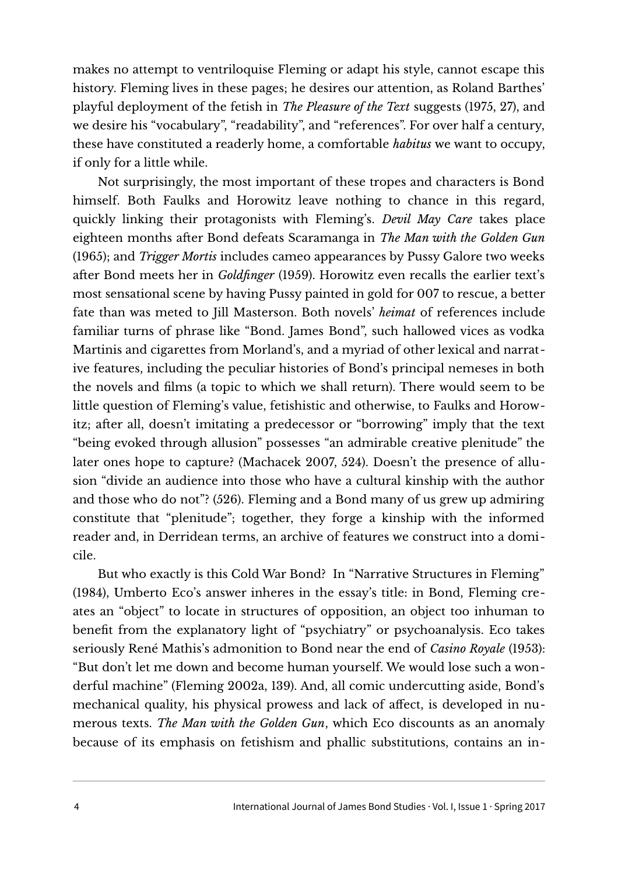makes no attempt to ventriloquise Fleming or adapt his style, cannot escape this history. Fleming lives in these pages; he desires our attention, as Roland Barthes' playful deployment of the fetish in *The Pleasure of the Text* suggests (1975, 27), and we desire his "vocabulary", "readability", and "references". For over half a century, these have constituted a readerly home, a comfortable *habitus* we want to occupy, if only for a little while.

Not surprisingly, the most important of these tropes and characters is Bond himself. Both Faulks and Horowitz leave nothing to chance in this regard, quickly linking their protagonists with Fleming's. *Devil May Care* takes place eighteen months after Bond defeats Scaramanga in *The Man with the Golden Gun* (1965); and *Trigger Mortis* includes cameo appearances by Pussy Galore two weeks after Bond meets her in *Goldfinger* (1959). Horowitz even recalls the earlier text's most sensational scene by having Pussy painted in gold for 007 to rescue, a better fate than was meted to Jill Masterson. Both novels' *heimat* of references include familiar turns of phrase like "Bond. James Bond", such hallowed vices as vodka Martinis and cigarettes from Morland's, and a myriad of other lexical and narrative features, including the peculiar histories of Bond's principal nemeses in both the novels and films (a topic to which we shall return). There would seem to be little question of Fleming's value, fetishistic and otherwise, to Faulks and Horowitz; after all, doesn't imitating a predecessor or "borrowing" imply that the text "being evoked through allusion" possesses "an admirable creative plenitude" the later ones hope to capture? (Machacek 2007, 524). Doesn't the presence of allusion "divide an audience into those who have a cultural kinship with the author and those who do not"? (526). Fleming and a Bond many of us grew up admiring constitute that "plenitude"; together, they forge a kinship with the informed reader and, in Derridean terms, an archive of features we construct into a domicile.

But who exactly is this Cold War Bond? In "Narrative Structures in Fleming" (1984), Umberto Eco's answer inheres in the essay's title: in Bond, Fleming creates an "object" to locate in structures of opposition, an object too inhuman to benefit from the explanatory light of "psychiatry" or psychoanalysis. Eco takes seriously René Mathis's admonition to Bond near the end of *Casino Royale* (1953): "But don't let me down and become human yourself. We would lose such a wonderful machine" (Fleming 2002a, 139). And, all comic undercutting aside, Bond's mechanical quality, his physical prowess and lack of affect, is developed in numerous texts. *The Man with the Golden Gun*, which Eco discounts as an anomaly because of its emphasis on fetishism and phallic substitutions, contains an in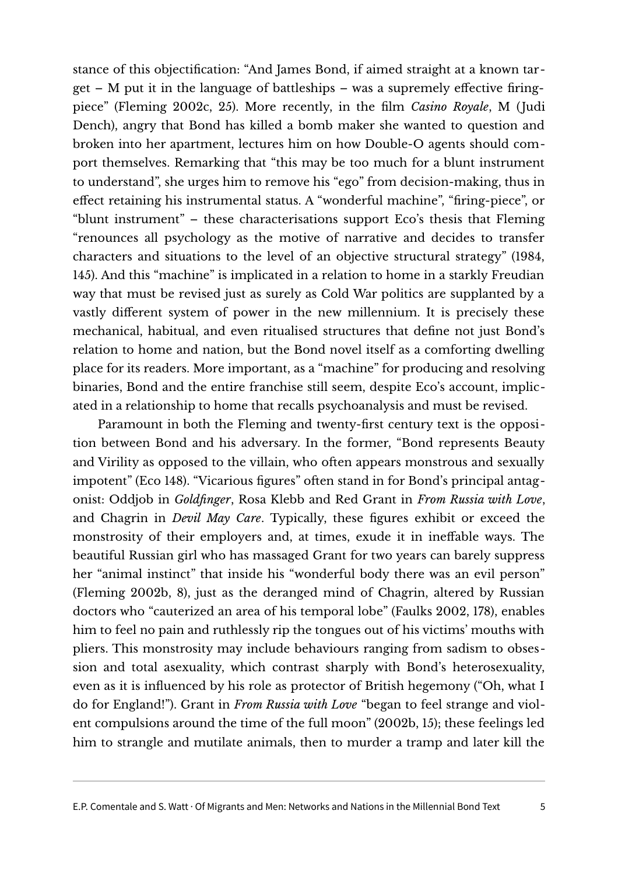stance of this objectification: "And James Bond, if aimed straight at a known target – M put it in the language of battleships – was a supremely effective firingpiece" (Fleming 2002c, 25). More recently, in the film *Casino Royale*, M (Judi Dench), angry that Bond has killed a bomb maker she wanted to question and broken into her apartment, lectures him on how Double-O agents should comport themselves. Remarking that "this may be too much for a blunt instrument to understand", she urges him to remove his "ego" from decision-making, thus in effect retaining his instrumental status. A "wonderful machine", "firing-piece", or "blunt instrument" – these characterisations support Eco's thesis that Fleming "renounces all psychology as the motive of narrative and decides to transfer characters and situations to the level of an objective structural strategy" (1984, 145). And this "machine" is implicated in a relation to home in a starkly Freudian way that must be revised just as surely as Cold War politics are supplanted by a vastly different system of power in the new millennium. It is precisely these mechanical, habitual, and even ritualised structures that define not just Bond's relation to home and nation, but the Bond novel itself as a comforting dwelling place for its readers. More important, as a "machine" for producing and resolving binaries, Bond and the entire franchise still seem, despite Eco's account, implicated in a relationship to home that recalls psychoanalysis and must be revised.

Paramount in both the Fleming and twenty-first century text is the opposition between Bond and his adversary. In the former, "Bond represents Beauty and Virility as opposed to the villain, who often appears monstrous and sexually impotent" (Eco 148). "Vicarious figures" often stand in for Bond's principal antagonist: Oddjob in *Goldfinger*, Rosa Klebb and Red Grant in *From Russia with Love*, and Chagrin in *Devil May Care*. Typically, these figures exhibit or exceed the monstrosity of their employers and, at times, exude it in ineffable ways. The beautiful Russian girl who has massaged Grant for two years can barely suppress her "animal instinct" that inside his "wonderful body there was an evil person" (Fleming 2002b, 8), just as the deranged mind of Chagrin, altered by Russian doctors who "cauterized an area of his temporal lobe" (Faulks 2002, 178), enables him to feel no pain and ruthlessly rip the tongues out of his victims' mouths with pliers. This monstrosity may include behaviours ranging from sadism to obsession and total asexuality, which contrast sharply with Bond's heterosexuality, even as it is influenced by his role as protector of British hegemony ("Oh, what I do for England!"). Grant in *From Russia with Love* "began to feel strange and violent compulsions around the time of the full moon" (2002b, 15); these feelings led him to strangle and mutilate animals, then to murder a tramp and later kill the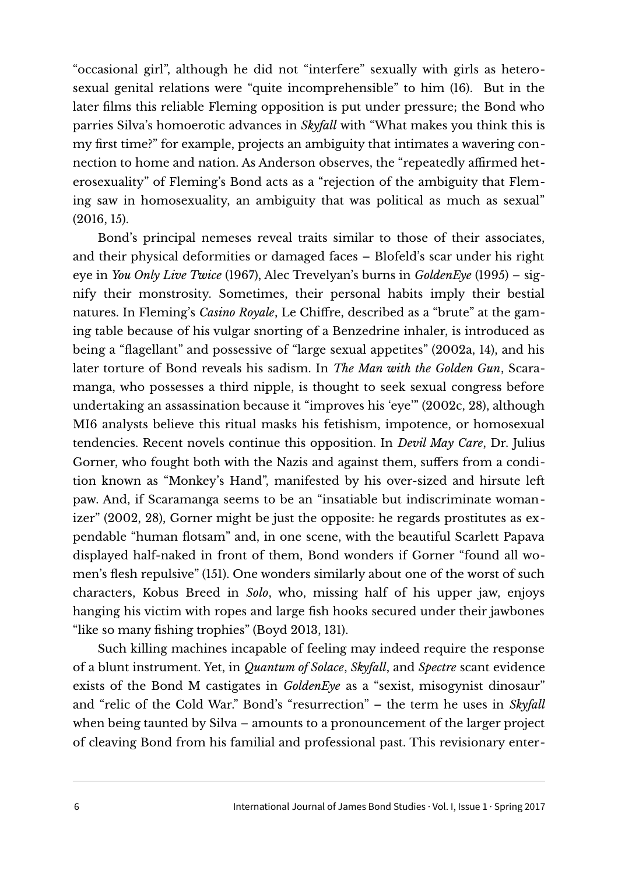"occasional girl", although he did not "interfere" sexually with girls as heterosexual genital relations were "quite incomprehensible" to him (16). But in the later films this reliable Fleming opposition is put under pressure; the Bond who parries Silva's homoerotic advances in *Skyfall* with "What makes you think this is my first time?" for example, projects an ambiguity that intimates a wavering connection to home and nation. As Anderson observes, the "repeatedly affirmed heterosexuality" of Fleming's Bond acts as a "rejection of the ambiguity that Fleming saw in homosexuality, an ambiguity that was political as much as sexual" (2016, 15).

Bond's principal nemeses reveal traits similar to those of their associates, and their physical deformities or damaged faces – Blofeld's scar under his right eye in *You Only Live Twice* (1967), Alec Trevelyan's burns in *GoldenEye* (1995) – signify their monstrosity. Sometimes, their personal habits imply their bestial natures. In Fleming's *Casino Royale*, Le Chiffre, described as a "brute" at the gaming table because of his vulgar snorting of a Benzedrine inhaler, is introduced as being a "flagellant" and possessive of "large sexual appetites" (2002a, 14), and his later torture of Bond reveals his sadism. In *The Man with the Golden Gun*, Scaramanga, who possesses a third nipple, is thought to seek sexual congress before undertaking an assassination because it "improves his 'eye'" (2002c, 28), although MI6 analysts believe this ritual masks his fetishism, impotence, or homosexual tendencies. Recent novels continue this opposition. In *Devil May Care*, Dr. Julius Gorner, who fought both with the Nazis and against them, suffers from a condition known as "Monkey's Hand", manifested by his over-sized and hirsute left paw. And, if Scaramanga seems to be an "insatiable but indiscriminate womanizer" (2002, 28), Gorner might be just the opposite: he regards prostitutes as expendable "human flotsam" and, in one scene, with the beautiful Scarlett Papava displayed half-naked in front of them, Bond wonders if Gorner "found all women's flesh repulsive" (151). One wonders similarly about one of the worst of such characters, Kobus Breed in *Solo*, who, missing half of his upper jaw, enjoys hanging his victim with ropes and large fish hooks secured under their jawbones "like so many fishing trophies" (Boyd 2013, 131).

Such killing machines incapable of feeling may indeed require the response of a blunt instrument. Yet, in *Quantum of Solace*, *Skyfall*, and *Spectre* scant evidence exists of the Bond M castigates in *GoldenEye* as a "sexist, misogynist dinosaur" and "relic of the Cold War." Bond's "resurrection" – the term he uses in *Skyfall* when being taunted by Silva – amounts to a pronouncement of the larger project of cleaving Bond from his familial and professional past. This revisionary enter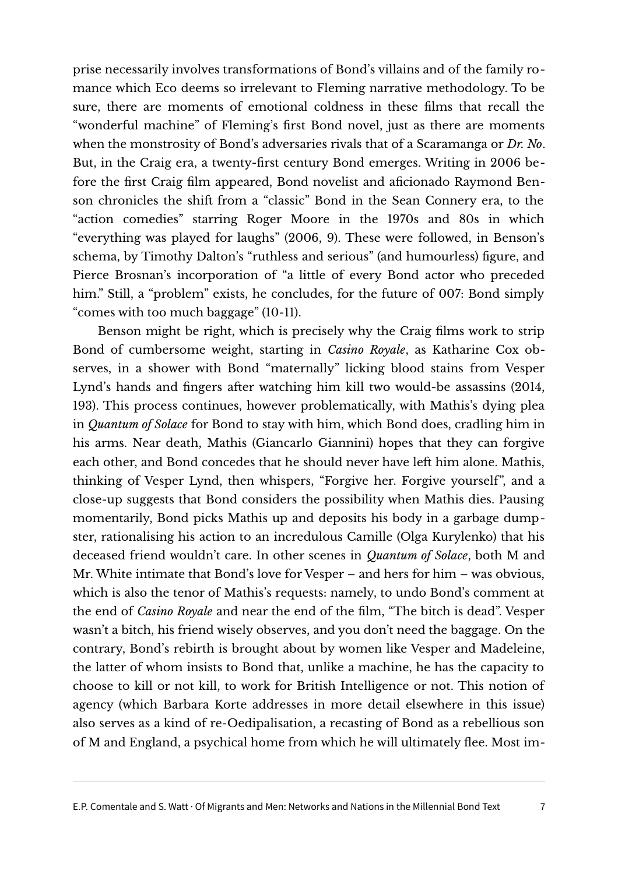prise necessarily involves transformations of Bond's villains and of the family romance which Eco deems so irrelevant to Fleming narrative methodology. To be sure, there are moments of emotional coldness in these films that recall the "wonderful machine" of Fleming's first Bond novel, just as there are moments when the monstrosity of Bond's adversaries rivals that of a Scaramanga or *Dr. No*. But, in the Craig era, a twenty-first century Bond emerges. Writing in 2006 before the first Craig film appeared, Bond novelist and aficionado Raymond Benson chronicles the shift from a "classic" Bond in the Sean Connery era, to the "action comedies" starring Roger Moore in the 1970s and 80s in which "everything was played for laughs" (2006, 9). These were followed, in Benson's schema, by Timothy Dalton's "ruthless and serious" (and humourless) figure, and Pierce Brosnan's incorporation of "a little of every Bond actor who preceded him." Still, a "problem" exists, he concludes, for the future of 007: Bond simply "comes with too much baggage" (10-11).

Benson might be right, which is precisely why the Craig films work to strip Bond of cumbersome weight, starting in *Casino Royale*, as Katharine Cox observes, in a shower with Bond "maternally" licking blood stains from Vesper Lynd's hands and fingers after watching him kill two would-be assassins (2014, 193). This process continues, however problematically, with Mathis's dying plea in *Quantum of Solace* for Bond to stay with him, which Bond does, cradling him in his arms. Near death, Mathis (Giancarlo Giannini) hopes that they can forgive each other, and Bond concedes that he should never have left him alone. Mathis, thinking of Vesper Lynd, then whispers, "Forgive her. Forgive yourself", and a close-up suggests that Bond considers the possibility when Mathis dies. Pausing momentarily, Bond picks Mathis up and deposits his body in a garbage dumpster, rationalising his action to an incredulous Camille (Olga Kurylenko) that his deceased friend wouldn't care. In other scenes in *Quantum of Solace*, both M and Mr. White intimate that Bond's love for Vesper – and hers for him – was obvious, which is also the tenor of Mathis's requests: namely, to undo Bond's comment at the end of *Casino Royale* and near the end of the film, "The bitch is dead". Vesper wasn't a bitch, his friend wisely observes, and you don't need the baggage. On the contrary, Bond's rebirth is brought about by women like Vesper and Madeleine, the latter of whom insists to Bond that, unlike a machine, he has the capacity to choose to kill or not kill, to work for British Intelligence or not. This notion of agency (which Barbara Korte addresses in more detail elsewhere in this issue) also serves as a kind of re-Oedipalisation, a recasting of Bond as a rebellious son of M and England, a psychical home from which he will ultimately flee. Most im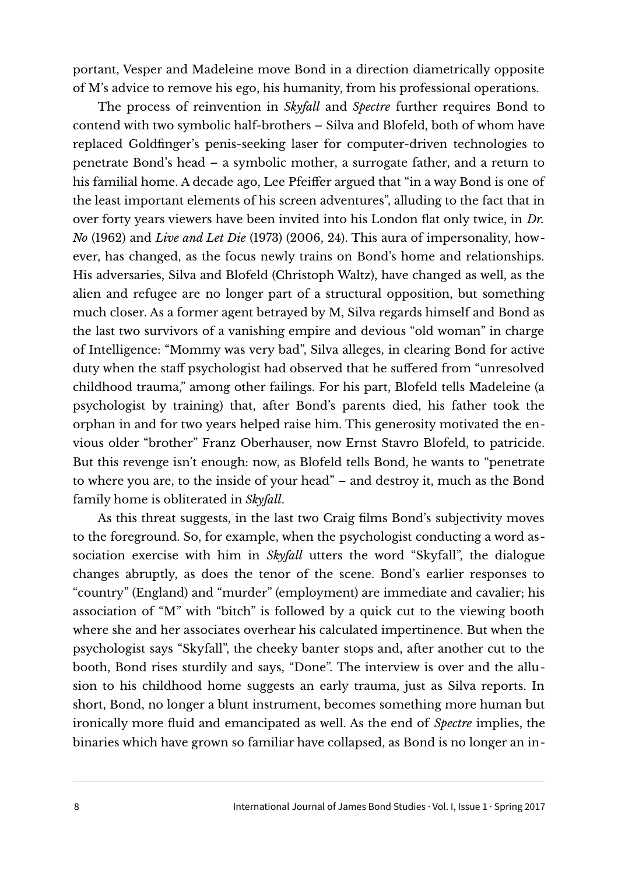portant, Vesper and Madeleine move Bond in a direction diametrically opposite of M's advice to remove his ego, his humanity, from his professional operations.

The process of reinvention in *Skyfall* and *Spectre* further requires Bond to contend with two symbolic half-brothers – Silva and Blofeld, both of whom have replaced Goldfinger's penis-seeking laser for computer-driven technologies to penetrate Bond's head – a symbolic mother, a surrogate father, and a return to his familial home. A decade ago, Lee Pfeiffer argued that "in a way Bond is one of the least important elements of his screen adventures", alluding to the fact that in over forty years viewers have been invited into his London flat only twice, in *Dr. No* (1962) and *Live and Let Die* (1973) (2006, 24). This aura of impersonality, however, has changed, as the focus newly trains on Bond's home and relationships. His adversaries, Silva and Blofeld (Christoph Waltz), have changed as well, as the alien and refugee are no longer part of a structural opposition, but something much closer. As a former agent betrayed by M, Silva regards himself and Bond as the last two survivors of a vanishing empire and devious "old woman" in charge of Intelligence: "Mommy was very bad", Silva alleges, in clearing Bond for active duty when the staff psychologist had observed that he suffered from "unresolved childhood trauma," among other failings. For his part, Blofeld tells Madeleine (a psychologist by training) that, after Bond's parents died, his father took the orphan in and for two years helped raise him. This generosity motivated the envious older "brother" Franz Oberhauser, now Ernst Stavro Blofeld, to patricide. But this revenge isn't enough: now, as Blofeld tells Bond, he wants to "penetrate to where you are, to the inside of your head" – and destroy it, much as the Bond family home is obliterated in *Skyfall*.

As this threat suggests, in the last two Craig films Bond's subjectivity moves to the foreground. So, for example, when the psychologist conducting a word association exercise with him in *Skyfall* utters the word "Skyfall", the dialogue changes abruptly, as does the tenor of the scene. Bond's earlier responses to "country" (England) and "murder" (employment) are immediate and cavalier; his association of "M" with "bitch" is followed by a quick cut to the viewing booth where she and her associates overhear his calculated impertinence. But when the psychologist says "Skyfall", the cheeky banter stops and, after another cut to the booth, Bond rises sturdily and says, "Done". The interview is over and the allusion to his childhood home suggests an early trauma, just as Silva reports. In short, Bond, no longer a blunt instrument, becomes something more human but ironically more fluid and emancipated as well. As the end of *Spectre* implies, the binaries which have grown so familiar have collapsed, as Bond is no longer an in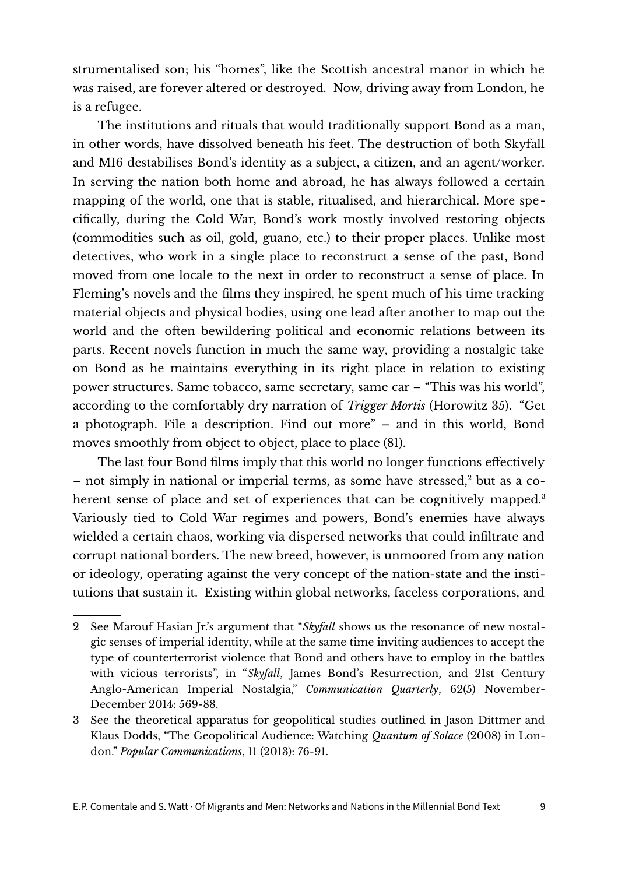strumentalised son; his "homes", like the Scottish ancestral manor in which he was raised, are forever altered or destroyed. Now, driving away from London, he is a refugee.

The institutions and rituals that would traditionally support Bond as a man, in other words, have dissolved beneath his feet. The destruction of both Skyfall and MI6 destabilises Bond's identity as a subject, a citizen, and an agent/worker. In serving the nation both home and abroad, he has always followed a certain mapping of the world, one that is stable, ritualised, and hierarchical. More specifically, during the Cold War, Bond's work mostly involved restoring objects (commodities such as oil, gold, guano, etc.) to their proper places. Unlike most detectives, who work in a single place to reconstruct a sense of the past, Bond moved from one locale to the next in order to reconstruct a sense of place. In Fleming's novels and the films they inspired, he spent much of his time tracking material objects and physical bodies, using one lead after another to map out the world and the often bewildering political and economic relations between its parts. Recent novels function in much the same way, providing a nostalgic take on Bond as he maintains everything in its right place in relation to existing power structures. Same tobacco, same secretary, same car – "This was his world", according to the comfortably dry narration of *Trigger Mortis* (Horowitz 35). "Get a photograph. File a description. Find out more" – and in this world, Bond moves smoothly from object to object, place to place (81).

The last four Bond films imply that this world no longer functions effectively – not simply in national or imperial terms, as some have stressed,<sup>[2](#page-8-0)</sup> but as a co-herent sense of place and set of experiences that can be cognitively mapped.<sup>[3](#page-8-1)</sup> Variously tied to Cold War regimes and powers, Bond's enemies have always wielded a certain chaos, working via dispersed networks that could infiltrate and corrupt national borders. The new breed, however, is unmoored from any nation or ideology, operating against the very concept of the nation-state and the institutions that sustain it. Existing within global networks, faceless corporations, and

<span id="page-8-0"></span><sup>2</sup> See Marouf Hasian Jr.'s argument that "*Skyfall* shows us the resonance of new nostalgic senses of imperial identity, while at the same time inviting audiences to accept the type of counterterrorist violence that Bond and others have to employ in the battles with vicious terrorists", in "*Skyfall*, James Bond's Resurrection, and 21st Century Anglo-American Imperial Nostalgia," *Communication Quarterly*, 62(5) November-December 2014: 569-88.

<span id="page-8-1"></span><sup>3</sup> See the theoretical apparatus for geopolitical studies outlined in Jason Dittmer and Klaus Dodds, "The Geopolitical Audience: Watching *Quantum of Solace* (2008) in London." *Popular Communications*, 11 (2013): 76-91.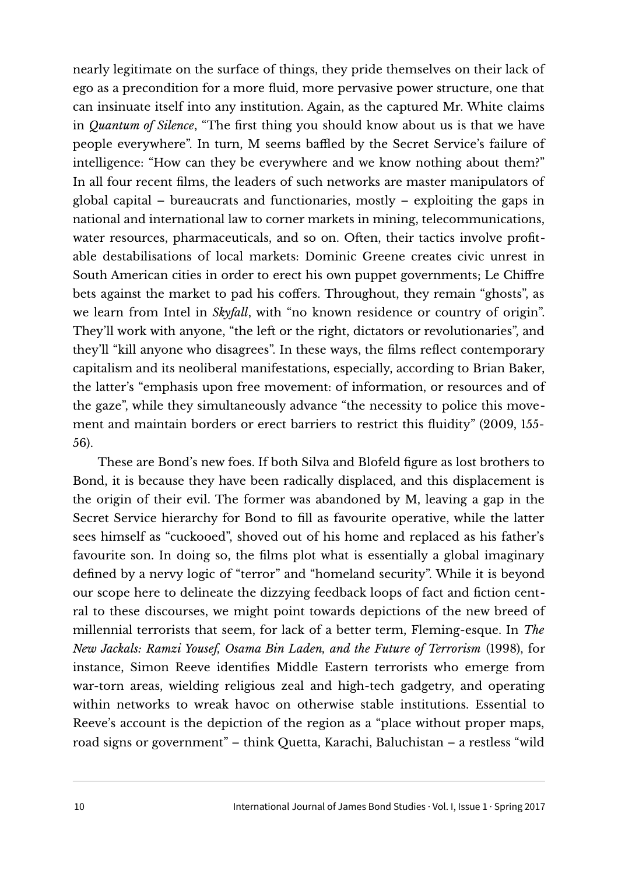nearly legitimate on the surface of things, they pride themselves on their lack of ego as a precondition for a more fluid, more pervasive power structure, one that can insinuate itself into any institution. Again, as the captured Mr. White claims in *Quantum of Silence*, "The first thing you should know about us is that we have people everywhere". In turn, M seems baffled by the Secret Service's failure of intelligence: "How can they be everywhere and we know nothing about them?" In all four recent films, the leaders of such networks are master manipulators of global capital – bureaucrats and functionaries, mostly – exploiting the gaps in national and international law to corner markets in mining, telecommunications, water resources, pharmaceuticals, and so on. Often, their tactics involve profitable destabilisations of local markets: Dominic Greene creates civic unrest in South American cities in order to erect his own puppet governments; Le Chiffre bets against the market to pad his coffers. Throughout, they remain "ghosts", as we learn from Intel in *Skyfall*, with "no known residence or country of origin". They'll work with anyone, "the left or the right, dictators or revolutionaries", and they'll "kill anyone who disagrees". In these ways, the films reflect contemporary capitalism and its neoliberal manifestations, especially, according to Brian Baker, the latter's "emphasis upon free movement: of information, or resources and of the gaze", while they simultaneously advance "the necessity to police this movement and maintain borders or erect barriers to restrict this fluidity" (2009, 155- 56).

These are Bond's new foes. If both Silva and Blofeld figure as lost brothers to Bond, it is because they have been radically displaced, and this displacement is the origin of their evil. The former was abandoned by M, leaving a gap in the Secret Service hierarchy for Bond to fill as favourite operative, while the latter sees himself as "cuckooed", shoved out of his home and replaced as his father's favourite son. In doing so, the films plot what is essentially a global imaginary defined by a nervy logic of "terror" and "homeland security". While it is beyond our scope here to delineate the dizzying feedback loops of fact and fiction central to these discourses, we might point towards depictions of the new breed of millennial terrorists that seem, for lack of a better term, Fleming-esque. In *The New Jackals: Ramzi Yousef, Osama Bin Laden, and the Future of Terrorism* (1998), for instance, Simon Reeve identifies Middle Eastern terrorists who emerge from war-torn areas, wielding religious zeal and high-tech gadgetry, and operating within networks to wreak havoc on otherwise stable institutions. Essential to Reeve's account is the depiction of the region as a "place without proper maps, road signs or government" – think Quetta, Karachi, Baluchistan – a restless "wild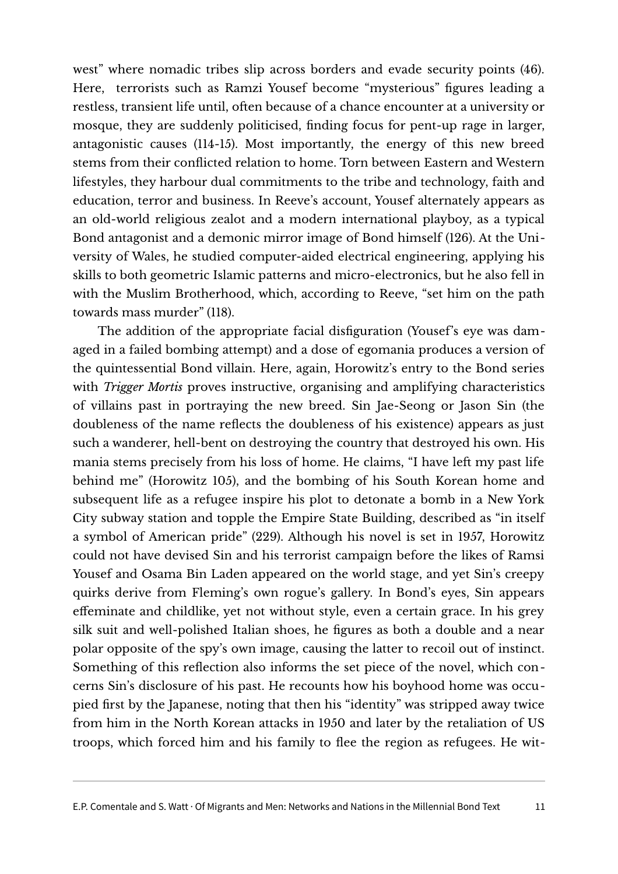west" where nomadic tribes slip across borders and evade security points (46). Here, terrorists such as Ramzi Yousef become "mysterious" figures leading a restless, transient life until, often because of a chance encounter at a university or mosque, they are suddenly politicised, finding focus for pent-up rage in larger, antagonistic causes (114-15). Most importantly, the energy of this new breed stems from their conflicted relation to home. Torn between Eastern and Western lifestyles, they harbour dual commitments to the tribe and technology, faith and education, terror and business. In Reeve's account, Yousef alternately appears as an old-world religious zealot and a modern international playboy, as a typical Bond antagonist and a demonic mirror image of Bond himself (126). At the University of Wales, he studied computer-aided electrical engineering, applying his skills to both geometric Islamic patterns and micro-electronics, but he also fell in with the Muslim Brotherhood, which, according to Reeve, "set him on the path towards mass murder" (118).

The addition of the appropriate facial disfiguration (Yousef's eye was damaged in a failed bombing attempt) and a dose of egomania produces a version of the quintessential Bond villain. Here, again, Horowitz's entry to the Bond series with *Trigger Mortis* proves instructive, organising and amplifying characteristics of villains past in portraying the new breed. Sin Jae-Seong or Jason Sin (the doubleness of the name reflects the doubleness of his existence) appears as just such a wanderer, hell-bent on destroying the country that destroyed his own. His mania stems precisely from his loss of home. He claims, "I have left my past life behind me" (Horowitz 105), and the bombing of his South Korean home and subsequent life as a refugee inspire his plot to detonate a bomb in a New York City subway station and topple the Empire State Building, described as "in itself a symbol of American pride" (229). Although his novel is set in 1957, Horowitz could not have devised Sin and his terrorist campaign before the likes of Ramsi Yousef and Osama Bin Laden appeared on the world stage, and yet Sin's creepy quirks derive from Fleming's own rogue's gallery. In Bond's eyes, Sin appears effeminate and childlike, yet not without style, even a certain grace. In his grey silk suit and well-polished Italian shoes, he figures as both a double and a near polar opposite of the spy's own image, causing the latter to recoil out of instinct. Something of this reflection also informs the set piece of the novel, which concerns Sin's disclosure of his past. He recounts how his boyhood home was occupied first by the Japanese, noting that then his "identity" was stripped away twice from him in the North Korean attacks in 1950 and later by the retaliation of US troops, which forced him and his family to flee the region as refugees. He wit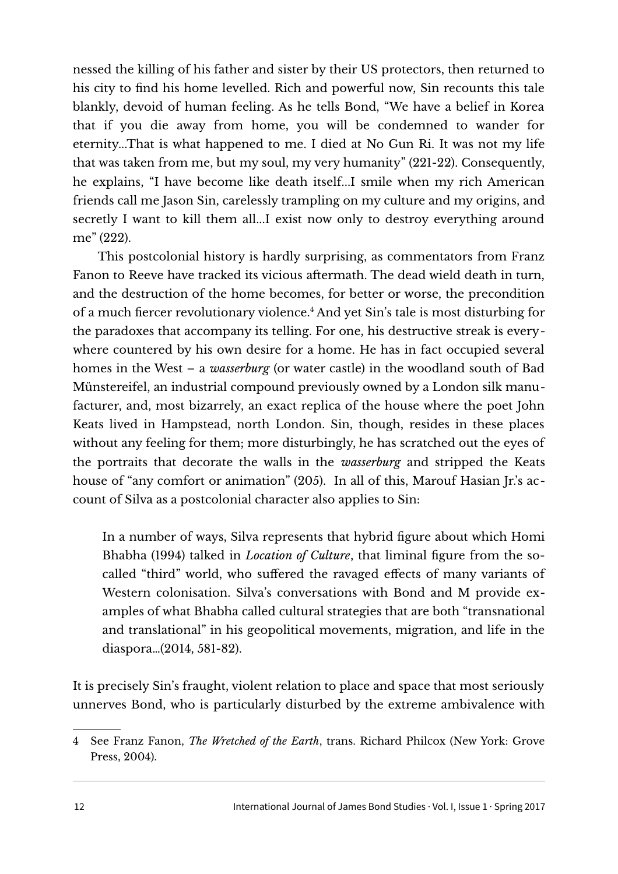nessed the killing of his father and sister by their US protectors, then returned to his city to find his home levelled. Rich and powerful now, Sin recounts this tale blankly, devoid of human feeling. As he tells Bond, "We have a belief in Korea that if you die away from home, you will be condemned to wander for eternity...That is what happened to me. I died at No Gun Ri. It was not my life that was taken from me, but my soul, my very humanity" (221-22). Consequently, he explains, "I have become like death itself...I smile when my rich American friends call me Jason Sin, carelessly trampling on my culture and my origins, and secretly I want to kill them all...I exist now only to destroy everything around me" (222).

This postcolonial history is hardly surprising, as commentators from Franz Fanon to Reeve have tracked its vicious aftermath. The dead wield death in turn, and the destruction of the home becomes, for better or worse, the precondition of a much fiercer revolutionary violence. [4](#page-11-0) And yet Sin's tale is most disturbing for the paradoxes that accompany its telling. For one, his destructive streak is everywhere countered by his own desire for a home. He has in fact occupied several homes in the West – a *wasserburg* (or water castle) in the woodland south of Bad Münstereifel, an industrial compound previously owned by a London silk manufacturer, and, most bizarrely, an exact replica of the house where the poet John Keats lived in Hampstead, north London. Sin, though, resides in these places without any feeling for them; more disturbingly, he has scratched out the eyes of the portraits that decorate the walls in the *wasserburg* and stripped the Keats house of "any comfort or animation" (205). In all of this, Marouf Hasian Jr.'s account of Silva as a postcolonial character also applies to Sin:

In a number of ways, Silva represents that hybrid figure about which Homi Bhabha (1994) talked in *Location of Culture*, that liminal figure from the socalled "third" world, who suffered the ravaged effects of many variants of Western colonisation. Silva's conversations with Bond and M provide examples of what Bhabha called cultural strategies that are both "transnational and translational" in his geopolitical movements, migration, and life in the diaspora…(2014, 581-82).

It is precisely Sin's fraught, violent relation to place and space that most seriously unnerves Bond, who is particularly disturbed by the extreme ambivalence with

<span id="page-11-0"></span><sup>4</sup> See Franz Fanon, *The Wretched of the Earth*, trans. Richard Philcox (New York: Grove Press, 2004).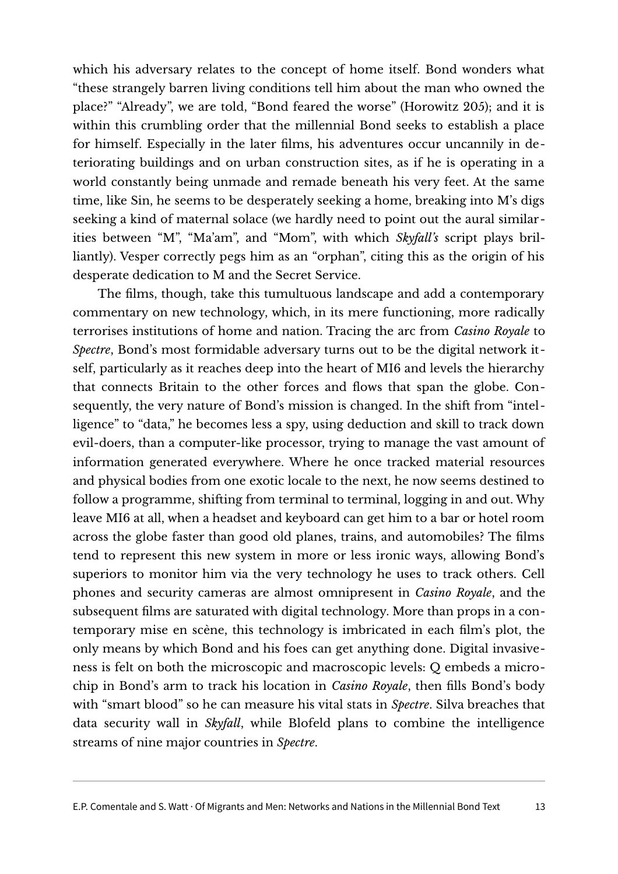which his adversary relates to the concept of home itself. Bond wonders what "these strangely barren living conditions tell him about the man who owned the place?" "Already", we are told, "Bond feared the worse" (Horowitz 205); and it is within this crumbling order that the millennial Bond seeks to establish a place for himself. Especially in the later films, his adventures occur uncannily in deteriorating buildings and on urban construction sites, as if he is operating in a world constantly being unmade and remade beneath his very feet. At the same time, like Sin, he seems to be desperately seeking a home, breaking into M's digs seeking a kind of maternal solace (we hardly need to point out the aural similarities between "M", "Ma'am", and "Mom", with which *Skyfall's* script plays brilliantly). Vesper correctly pegs him as an "orphan", citing this as the origin of his desperate dedication to M and the Secret Service.

The films, though, take this tumultuous landscape and add a contemporary commentary on new technology, which, in its mere functioning, more radically terrorises institutions of home and nation. Tracing the arc from *Casino Royale* to *Spectre*, Bond's most formidable adversary turns out to be the digital network itself, particularly as it reaches deep into the heart of MI6 and levels the hierarchy that connects Britain to the other forces and flows that span the globe. Consequently, the very nature of Bond's mission is changed. In the shift from "intelligence" to "data," he becomes less a spy, using deduction and skill to track down evil-doers, than a computer-like processor, trying to manage the vast amount of information generated everywhere. Where he once tracked material resources and physical bodies from one exotic locale to the next, he now seems destined to follow a programme, shifting from terminal to terminal, logging in and out. Why leave MI6 at all, when a headset and keyboard can get him to a bar or hotel room across the globe faster than good old planes, trains, and automobiles? The films tend to represent this new system in more or less ironic ways, allowing Bond's superiors to monitor him via the very technology he uses to track others. Cell phones and security cameras are almost omnipresent in *Casino Royale*, and the subsequent films are saturated with digital technology. More than props in a contemporary mise en scène, this technology is imbricated in each film's plot, the only means by which Bond and his foes can get anything done. Digital invasiveness is felt on both the microscopic and macroscopic levels: Q embeds a microchip in Bond's arm to track his location in *Casino Royale*, then fills Bond's body with "smart blood" so he can measure his vital stats in *Spectre*. Silva breaches that data security wall in *Skyfall*, while Blofeld plans to combine the intelligence streams of nine major countries in *Spectre*.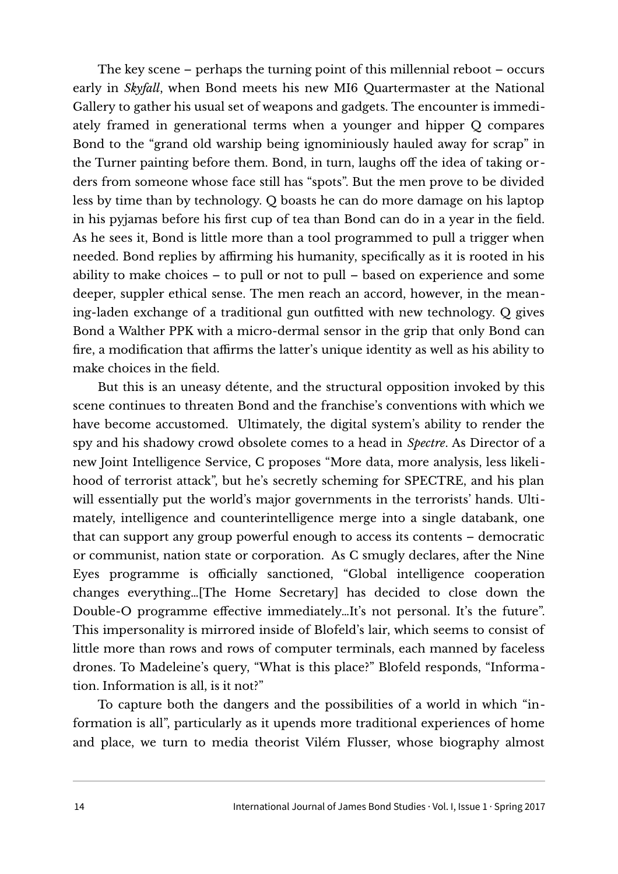The key scene – perhaps the turning point of this millennial reboot – occurs early in *Skyfall*, when Bond meets his new MI6 Quartermaster at the National Gallery to gather his usual set of weapons and gadgets. The encounter is immediately framed in generational terms when a younger and hipper Q compares Bond to the "grand old warship being ignominiously hauled away for scrap" in the Turner painting before them. Bond, in turn, laughs off the idea of taking orders from someone whose face still has "spots". But the men prove to be divided less by time than by technology. Q boasts he can do more damage on his laptop in his pyjamas before his first cup of tea than Bond can do in a year in the field. As he sees it, Bond is little more than a tool programmed to pull a trigger when needed. Bond replies by affirming his humanity, specifically as it is rooted in his ability to make choices – to pull or not to pull – based on experience and some deeper, suppler ethical sense. The men reach an accord, however, in the meaning-laden exchange of a traditional gun outfitted with new technology. Q gives Bond a Walther PPK with a micro-dermal sensor in the grip that only Bond can fire, a modification that affirms the latter's unique identity as well as his ability to make choices in the field.

But this is an uneasy détente, and the structural opposition invoked by this scene continues to threaten Bond and the franchise's conventions with which we have become accustomed. Ultimately, the digital system's ability to render the spy and his shadowy crowd obsolete comes to a head in *Spectre*. As Director of a new Joint Intelligence Service, C proposes "More data, more analysis, less likelihood of terrorist attack", but he's secretly scheming for SPECTRE, and his plan will essentially put the world's major governments in the terrorists' hands. Ultimately, intelligence and counterintelligence merge into a single databank, one that can support any group powerful enough to access its contents – democratic or communist, nation state or corporation. As C smugly declares, after the Nine Eyes programme is officially sanctioned, "Global intelligence cooperation changes everything…[The Home Secretary] has decided to close down the Double-O programme effective immediately…It's not personal. It's the future". This impersonality is mirrored inside of Blofeld's lair, which seems to consist of little more than rows and rows of computer terminals, each manned by faceless drones. To Madeleine's query, "What is this place?" Blofeld responds, "Information. Information is all, is it not?"

To capture both the dangers and the possibilities of a world in which "information is all", particularly as it upends more traditional experiences of home and place, we turn to media theorist Vilém Flusser, whose biography almost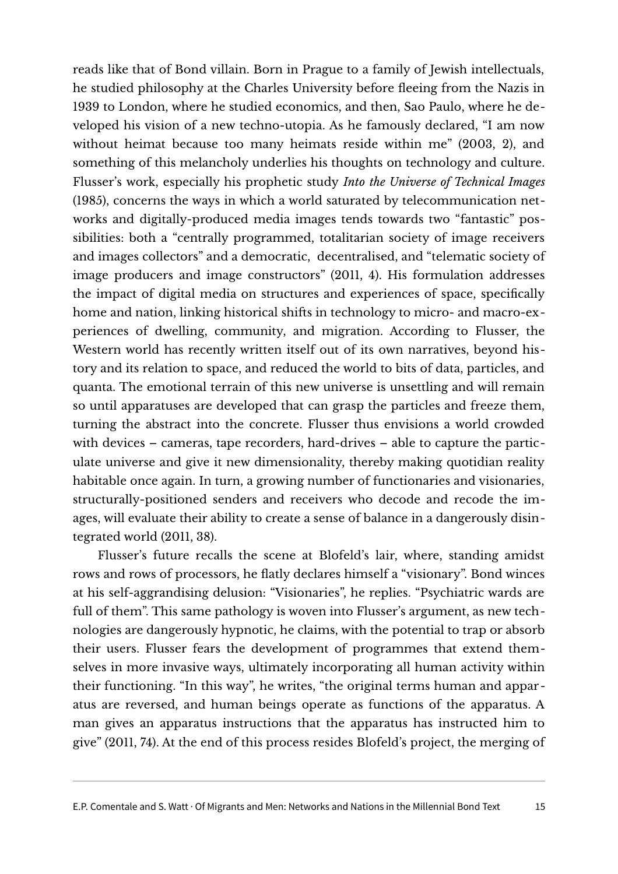reads like that of Bond villain. Born in Prague to a family of Jewish intellectuals, he studied philosophy at the Charles University before fleeing from the Nazis in 1939 to London, where he studied economics, and then, Sao Paulo, where he developed his vision of a new techno-utopia. As he famously declared, "I am now without heimat because too many heimats reside within me" (2003, 2), and something of this melancholy underlies his thoughts on technology and culture. Flusser's work, especially his prophetic study *Into the Universe of Technical Images* (1985), concerns the ways in which a world saturated by telecommunication networks and digitally-produced media images tends towards two "fantastic" possibilities: both a "centrally programmed, totalitarian society of image receivers and images collectors" and a democratic, decentralised, and "telematic society of image producers and image constructors" (2011, 4). His formulation addresses the impact of digital media on structures and experiences of space, specifically home and nation, linking historical shifts in technology to micro- and macro-experiences of dwelling, community, and migration. According to Flusser, the Western world has recently written itself out of its own narratives, beyond history and its relation to space, and reduced the world to bits of data, particles, and quanta. The emotional terrain of this new universe is unsettling and will remain so until apparatuses are developed that can grasp the particles and freeze them, turning the abstract into the concrete. Flusser thus envisions a world crowded with devices – cameras, tape recorders, hard-drives – able to capture the particulate universe and give it new dimensionality, thereby making quotidian reality habitable once again. In turn, a growing number of functionaries and visionaries, structurally-positioned senders and receivers who decode and recode the images, will evaluate their ability to create a sense of balance in a dangerously disintegrated world (2011, 38).

Flusser's future recalls the scene at Blofeld's lair, where, standing amidst rows and rows of processors, he flatly declares himself a "visionary". Bond winces at his self-aggrandising delusion: "Visionaries", he replies. "Psychiatric wards are full of them". This same pathology is woven into Flusser's argument, as new technologies are dangerously hypnotic, he claims, with the potential to trap or absorb their users. Flusser fears the development of programmes that extend themselves in more invasive ways, ultimately incorporating all human activity within their functioning. "In this way", he writes, "the original terms human and apparatus are reversed, and human beings operate as functions of the apparatus. A man gives an apparatus instructions that the apparatus has instructed him to give" (2011, 74). At the end of this process resides Blofeld's project, the merging of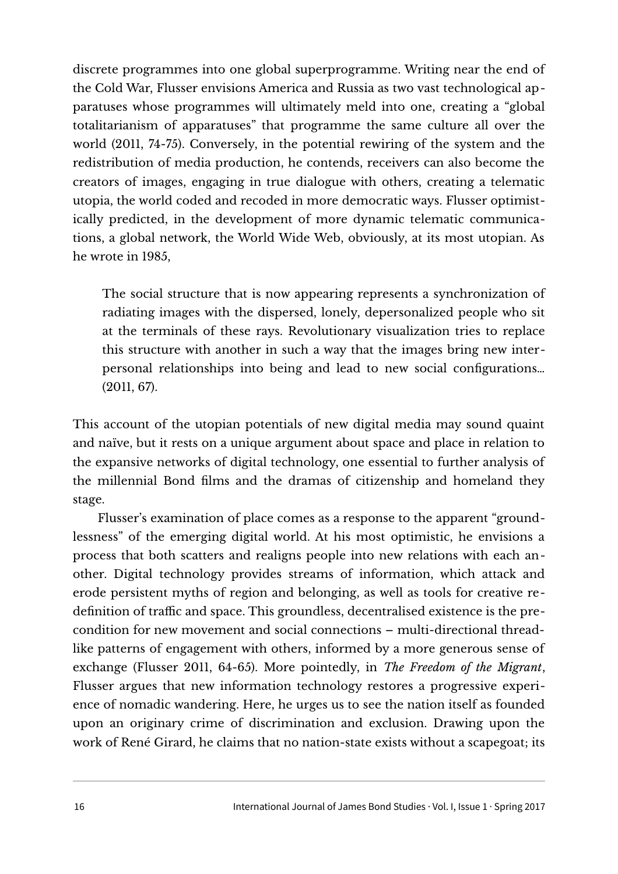discrete programmes into one global superprogramme. Writing near the end of the Cold War, Flusser envisions America and Russia as two vast technological apparatuses whose programmes will ultimately meld into one, creating a "global totalitarianism of apparatuses" that programme the same culture all over the world (2011, 74-75). Conversely, in the potential rewiring of the system and the redistribution of media production, he contends, receivers can also become the creators of images, engaging in true dialogue with others, creating a telematic utopia, the world coded and recoded in more democratic ways. Flusser optimistically predicted, in the development of more dynamic telematic communications, a global network, the World Wide Web, obviously, at its most utopian. As he wrote in 1985,

The social structure that is now appearing represents a synchronization of radiating images with the dispersed, lonely, depersonalized people who sit at the terminals of these rays. Revolutionary visualization tries to replace this structure with another in such a way that the images bring new interpersonal relationships into being and lead to new social configurations… (2011, 67).

This account of the utopian potentials of new digital media may sound quaint and naïve, but it rests on a unique argument about space and place in relation to the expansive networks of digital technology, one essential to further analysis of the millennial Bond films and the dramas of citizenship and homeland they stage.

Flusser's examination of place comes as a response to the apparent "groundlessness" of the emerging digital world. At his most optimistic, he envisions a process that both scatters and realigns people into new relations with each another. Digital technology provides streams of information, which attack and erode persistent myths of region and belonging, as well as tools for creative redefinition of traffic and space. This groundless, decentralised existence is the precondition for new movement and social connections – multi-directional threadlike patterns of engagement with others, informed by a more generous sense of exchange (Flusser 2011, 64-65). More pointedly, in *The Freedom of the Migrant*, Flusser argues that new information technology restores a progressive experience of nomadic wandering. Here, he urges us to see the nation itself as founded upon an originary crime of discrimination and exclusion. Drawing upon the work of René Girard, he claims that no nation-state exists without a scapegoat; its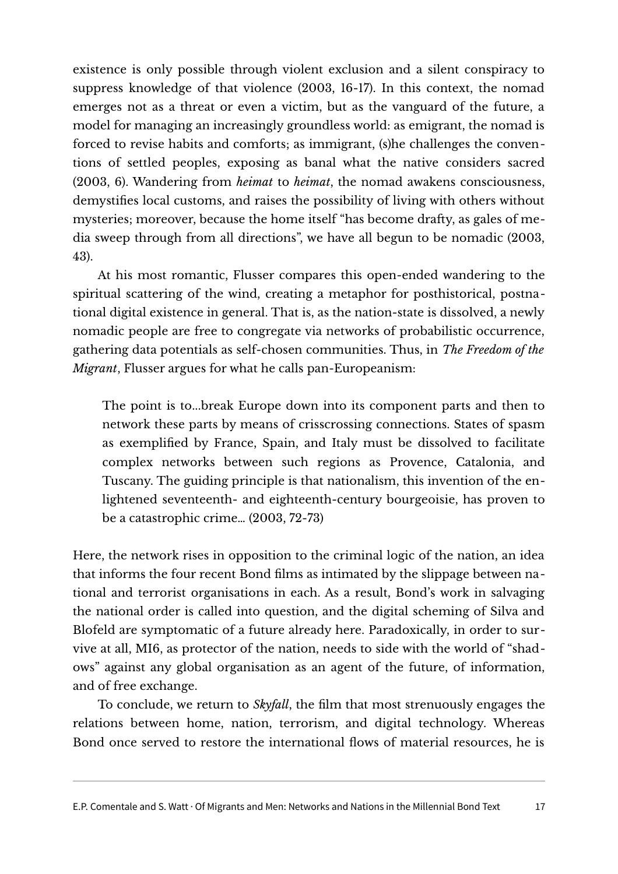existence is only possible through violent exclusion and a silent conspiracy to suppress knowledge of that violence (2003, 16-17). In this context, the nomad emerges not as a threat or even a victim, but as the vanguard of the future, a model for managing an increasingly groundless world: as emigrant, the nomad is forced to revise habits and comforts; as immigrant, (s)he challenges the conventions of settled peoples, exposing as banal what the native considers sacred (2003, 6). Wandering from *heimat* to *heimat*, the nomad awakens consciousness, demystifies local customs, and raises the possibility of living with others without mysteries; moreover, because the home itself "has become drafty, as gales of media sweep through from all directions", we have all begun to be nomadic (2003, 43).

At his most romantic, Flusser compares this open-ended wandering to the spiritual scattering of the wind, creating a metaphor for posthistorical, postnational digital existence in general. That is, as the nation-state is dissolved, a newly nomadic people are free to congregate via networks of probabilistic occurrence, gathering data potentials as self-chosen communities. Thus, in *The Freedom of the Migrant*, Flusser argues for what he calls pan-Europeanism:

The point is to...break Europe down into its component parts and then to network these parts by means of crisscrossing connections. States of spasm as exemplified by France, Spain, and Italy must be dissolved to facilitate complex networks between such regions as Provence, Catalonia, and Tuscany. The guiding principle is that nationalism, this invention of the enlightened seventeenth- and eighteenth-century bourgeoisie, has proven to be a catastrophic crime… (2003, 72-73)

Here, the network rises in opposition to the criminal logic of the nation, an idea that informs the four recent Bond films as intimated by the slippage between national and terrorist organisations in each. As a result, Bond's work in salvaging the national order is called into question, and the digital scheming of Silva and Blofeld are symptomatic of a future already here. Paradoxically, in order to survive at all, MI6, as protector of the nation, needs to side with the world of "shadows" against any global organisation as an agent of the future, of information, and of free exchange.

To conclude, we return to *Skyfall*, the film that most strenuously engages the relations between home, nation, terrorism, and digital technology. Whereas Bond once served to restore the international flows of material resources, he is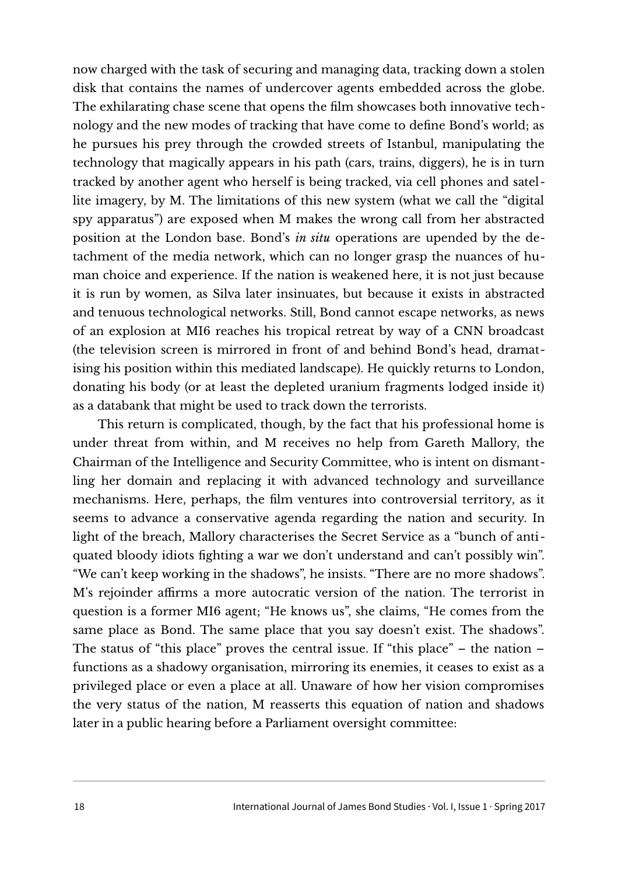now charged with the task of securing and managing data, tracking down a stolen disk that contains the names of undercover agents embedded across the globe. The exhilarating chase scene that opens the film showcases both innovative technology and the new modes of tracking that have come to define Bond's world; as he pursues his prey through the crowded streets of Istanbul, manipulating the technology that magically appears in his path (cars, trains, diggers), he is in turn tracked by another agent who herself is being tracked, via cell phones and satellite imagery, by M. The limitations of this new system (what we call the "digital spy apparatus") are exposed when M makes the wrong call from her abstracted position at the London base. Bond's *in situ* operations are upended by the detachment of the media network, which can no longer grasp the nuances of human choice and experience. If the nation is weakened here, it is not just because it is run by women, as Silva later insinuates, but because it exists in abstracted and tenuous technological networks. Still, Bond cannot escape networks, as news of an explosion at MI6 reaches his tropical retreat by way of a CNN broadcast (the television screen is mirrored in front of and behind Bond's head, dramatising his position within this mediated landscape). He quickly returns to London, donating his body (or at least the depleted uranium fragments lodged inside it) as a databank that might be used to track down the terrorists.

This return is complicated, though, by the fact that his professional home is under threat from within, and M receives no help from Gareth Mallory, the Chairman of the Intelligence and Security Committee, who is intent on dismantling her domain and replacing it with advanced technology and surveillance mechanisms. Here, perhaps, the film ventures into controversial territory, as it seems to advance a conservative agenda regarding the nation and security. In light of the breach, Mallory characterises the Secret Service as a "bunch of antiquated bloody idiots fighting a war we don't understand and can't possibly win". "We can't keep working in the shadows", he insists. "There are no more shadows". M's rejoinder affirms a more autocratic version of the nation. The terrorist in question is a former MI6 agent; "He knows us", she claims, "He comes from the same place as Bond. The same place that you say doesn't exist. The shadows". The status of "this place" proves the central issue. If "this place" – the nation – functions as a shadowy organisation, mirroring its enemies, it ceases to exist as a privileged place or even a place at all. Unaware of how her vision compromises the very status of the nation, M reasserts this equation of nation and shadows later in a public hearing before a Parliament oversight committee: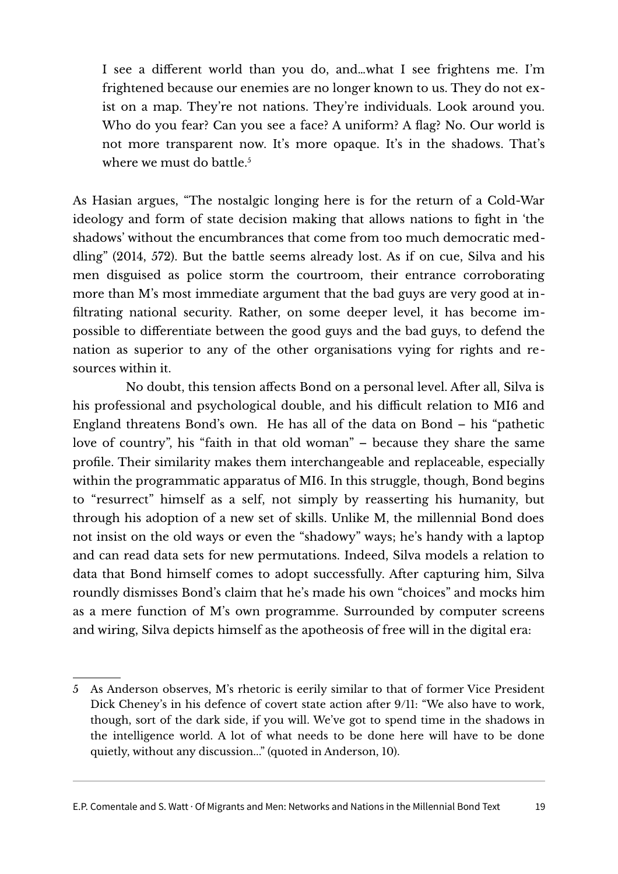I see a different world than you do, and…what I see frightens me. I'm frightened because our enemies are no longer known to us. They do not exist on a map. They're not nations. They're individuals. Look around you. Who do you fear? Can you see a face? A uniform? A flag? No. Our world is not more transparent now. It's more opaque. It's in the shadows. That's where we must do battle. $5$ 

As Hasian argues, "The nostalgic longing here is for the return of a Cold-War ideology and form of state decision making that allows nations to fight in 'the shadows' without the encumbrances that come from too much democratic meddling" (2014, 572). But the battle seems already lost. As if on cue, Silva and his men disguised as police storm the courtroom, their entrance corroborating more than M's most immediate argument that the bad guys are very good at infiltrating national security. Rather, on some deeper level, it has become impossible to differentiate between the good guys and the bad guys, to defend the nation as superior to any of the other organisations vying for rights and resources within it.

 No doubt, this tension affects Bond on a personal level. After all, Silva is his professional and psychological double, and his difficult relation to MI6 and England threatens Bond's own. He has all of the data on Bond – his "pathetic love of country", his "faith in that old woman" – because they share the same profile. Their similarity makes them interchangeable and replaceable, especially within the programmatic apparatus of MI6. In this struggle, though, Bond begins to "resurrect" himself as a self, not simply by reasserting his humanity, but through his adoption of a new set of skills. Unlike M, the millennial Bond does not insist on the old ways or even the "shadowy" ways; he's handy with a laptop and can read data sets for new permutations. Indeed, Silva models a relation to data that Bond himself comes to adopt successfully. After capturing him, Silva roundly dismisses Bond's claim that he's made his own "choices" and mocks him as a mere function of M's own programme. Surrounded by computer screens and wiring, Silva depicts himself as the apotheosis of free will in the digital era:

<span id="page-18-0"></span><sup>5</sup> As Anderson observes, M's rhetoric is eerily similar to that of former Vice President Dick Cheney's in his defence of covert state action after 9/11: "We also have to work, though, sort of the dark side, if you will. We've got to spend time in the shadows in the intelligence world. A lot of what needs to be done here will have to be done quietly, without any discussion..." (quoted in Anderson, 10).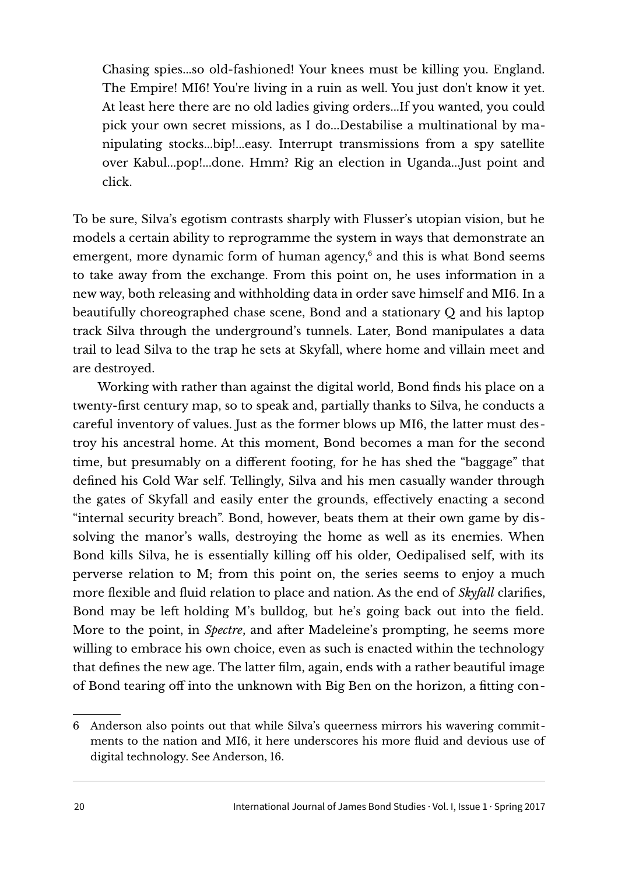Chasing spies...so old-fashioned! Your knees must be killing you. England. The Empire! MI6! You're living in a ruin as well. You just don't know it yet. At least here there are no old ladies giving orders...If you wanted, you could pick your own secret missions, as I do...Destabilise a multinational by manipulating stocks...bip!...easy. Interrupt transmissions from a spy satellite over Kabul...pop!...done. Hmm? Rig an election in Uganda...Just point and click.

To be sure, Silva's egotism contrasts sharply with Flusser's utopian vision, but he models a certain ability to reprogramme the system in ways that demonstrate an emergent, more dynamic form of human agency,<sup>[6](#page-19-0)</sup> and this is what Bond seems to take away from the exchange. From this point on, he uses information in a new way, both releasing and withholding data in order save himself and MI6. In a beautifully choreographed chase scene, Bond and a stationary Q and his laptop track Silva through the underground's tunnels. Later, Bond manipulates a data trail to lead Silva to the trap he sets at Skyfall, where home and villain meet and are destroyed.

Working with rather than against the digital world, Bond finds his place on a twenty-first century map, so to speak and, partially thanks to Silva, he conducts a careful inventory of values. Just as the former blows up MI6, the latter must destroy his ancestral home. At this moment, Bond becomes a man for the second time, but presumably on a different footing, for he has shed the "baggage" that defined his Cold War self. Tellingly, Silva and his men casually wander through the gates of Skyfall and easily enter the grounds, effectively enacting a second "internal security breach". Bond, however, beats them at their own game by dissolving the manor's walls, destroying the home as well as its enemies. When Bond kills Silva, he is essentially killing off his older, Oedipalised self, with its perverse relation to M; from this point on, the series seems to enjoy a much more flexible and fluid relation to place and nation. As the end of *Skyfall* clarifies, Bond may be left holding M's bulldog, but he's going back out into the field. More to the point, in *Spectre*, and after Madeleine's prompting, he seems more willing to embrace his own choice, even as such is enacted within the technology that defines the new age. The latter film, again, ends with a rather beautiful image of Bond tearing off into the unknown with Big Ben on the horizon, a fitting con-

<span id="page-19-0"></span><sup>6</sup> Anderson also points out that while Silva's queerness mirrors his wavering commitments to the nation and MI6, it here underscores his more fluid and devious use of digital technology. See Anderson, 16.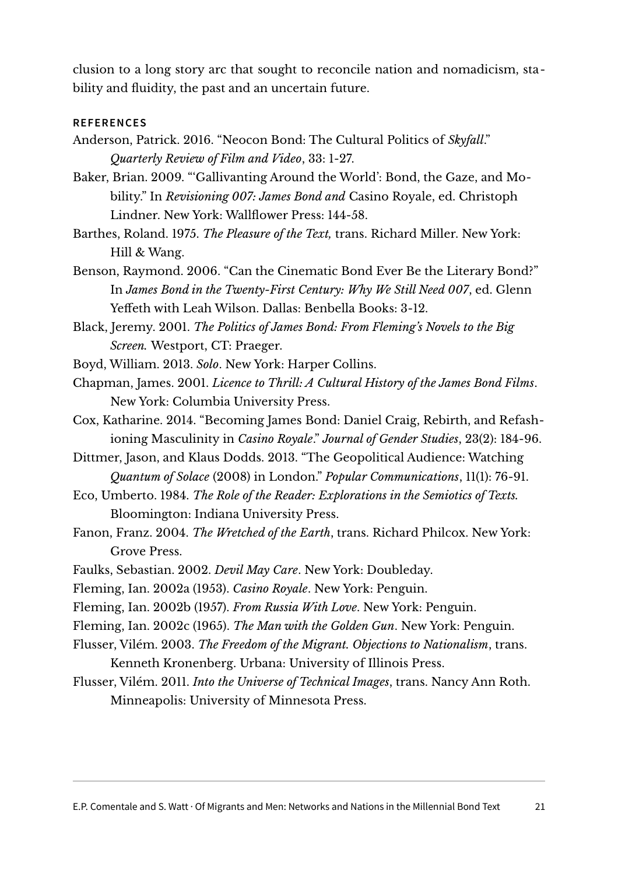clusion to a long story arc that sought to reconcile nation and nomadicism, stability and fluidity, the past and an uncertain future.

## **REFERENCES**

- Anderson, Patrick. 2016. "Neocon Bond: The Cultural Politics of *Skyfall*." *Quarterly Review of Film and Video*, 33: 1-27.
- Baker, Brian. 2009. "'Gallivanting Around the World': Bond, the Gaze, and Mobility." In *Revisioning 007: James Bond and* Casino Royale, ed. Christoph Lindner. New York: Wallflower Press: 144-58.
- Barthes, Roland. 1975. *The Pleasure of the Text,* trans. Richard Miller. New York: Hill & Wang.
- Benson, Raymond. 2006. "Can the Cinematic Bond Ever Be the Literary Bond?" In *James Bond in the Twenty-First Century: Why We Still Need 007*, ed. Glenn Yeffeth with Leah Wilson. Dallas: Benbella Books: 3-12.
- Black, Jeremy. 2001. *The Politics of James Bond: From Fleming's Novels to the Big Screen.* Westport, CT: Praeger.
- Boyd, William. 2013. *Solo*. New York: Harper Collins.
- Chapman, James. 2001. *Licence to Thrill: A Cultural History of the James Bond Films*. New York: Columbia University Press.
- Cox, Katharine. 2014. "Becoming James Bond: Daniel Craig, Rebirth, and Refashioning Masculinity in *Casino Royale*." *Journal of Gender Studies*, 23(2): 184-96.
- Dittmer, Jason, and Klaus Dodds. 2013. "The Geopolitical Audience: Watching *Quantum of Solace* (2008) in London." *Popular Communications*, 11(1): 76-91.
- Eco, Umberto. 1984. *The Role of the Reader: Explorations in the Semiotics of Texts.* Bloomington: Indiana University Press.
- Fanon, Franz. 2004. *The Wretched of the Earth*, trans. Richard Philcox. New York: Grove Press.
- Faulks, Sebastian. 2002. *Devil May Care*. New York: Doubleday.
- Fleming, Ian. 2002a (1953). *Casino Royale*. New York: Penguin.
- Fleming, Ian. 2002b (1957). *From Russia With Love*. New York: Penguin.
- Fleming, Ian. 2002c (1965). *The Man with the Golden Gun*. New York: Penguin.
- Flusser, Vilém. 2003. *The Freedom of the Migrant. Objections to Nationalism*, trans. Kenneth Kronenberg. Urbana: University of Illinois Press.
- Flusser, Vilém. 2011. *Into the Universe of Technical Images*, trans. Nancy Ann Roth. Minneapolis: University of Minnesota Press.